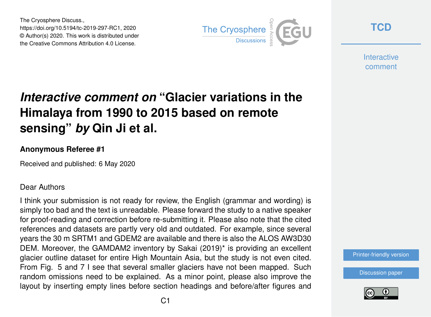The Cryosphere Discuss., https://doi.org/10.5194/tc-2019-297-RC1, 2020 © Author(s) 2020. This work is distributed under the Creative Commons Attribution 4.0 License.



**[TCD](https://www.the-cryosphere-discuss.net/)**

**Interactive** comment

## *Interactive comment on* **"Glacier variations in the Himalaya from 1990 to 2015 based on remote sensing"** *by* **Qin Ji et al.**

## **Anonymous Referee #1**

Received and published: 6 May 2020

## Dear Authors

I think your submission is not ready for review, the English (grammar and wording) is simply too bad and the text is unreadable. Please forward the study to a native speaker for proof-reading and correction before re-submitting it. Please also note that the cited references and datasets are partly very old and outdated. For example, since several years the 30 m SRTM1 and GDEM2 are available and there is also the ALOS AW3D30 DEM. Moreover, the GAMDAM2 inventory by Sakai (2019)\* is providing an excellent glacier outline dataset for entire High Mountain Asia, but the study is not even cited. From Fig. 5 and 7 I see that several smaller glaciers have not been mapped. Such random omissions need to be explained. As a minor point, please also improve the layout by inserting empty lines before section headings and before/after figures and

[Printer-friendly version](https://www.the-cryosphere-discuss.net/tc-2019-297/tc-2019-297-RC1-print.pdf)

[Discussion paper](https://www.the-cryosphere-discuss.net/tc-2019-297)